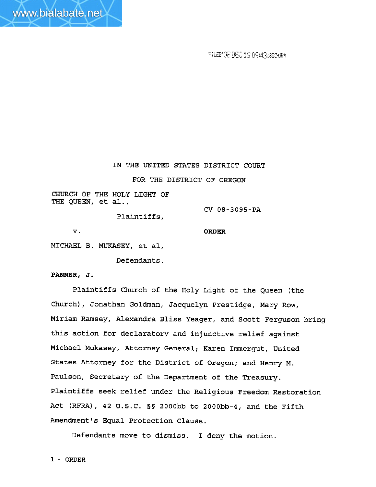FILEMOR DEC 19 09:43.600-00M

IN THE UNITED STATES DISTRICT COURT

FOR THE DISTRICT **OF** OREGON

**CHURCH OF** THE HOLY **LIGHT OF**  THE **QUEEN, et al.,** 

**Plaintiffs,** 

**V. ORDER** 

**CV 08-3095-PA** 

**MICHAEL B. MUKASEY, et al,** 

**Defendants.** 

**PANNER, J.** 

**Plaintiffs Church of the Holy Light of the Queen (the Church), Jonathan Goldman, Jacquelyn Prestidge, Mary Row, Miriam Ramsey, Alexandra Bliss Yeager, and Scott Ferguson bring this action for declaratory and injunctive relief against Michael Mukasey, Attorney General; Karen Immergut, United States Attorney for the District of Oregon; and Henry M. Paulson, Secretary of the Department of the Treasury. Plaintiffs seek relief under the Religious Freedom Restoration Act (RFRA), 42** U.S.C. **8s 2000bb to 2000bb-4, and the ~ifth Amendment's Equal Protection Clause.** 

**Defendants move to dismiss.** I **deny the motion.**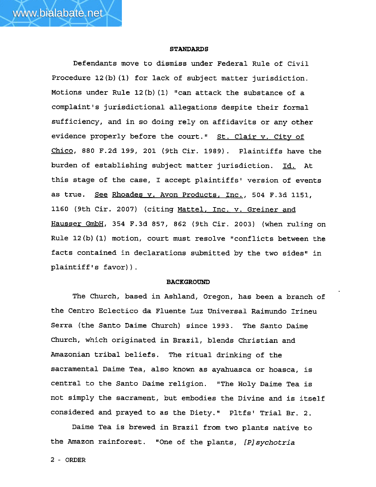#### **STANDARDS**

Defendants move to dismiss under Federal Rule of Civil Procedure 12 (b) (1) for lack of subject matter jurisdiction. Motions under Rule 12(b)(1) "can attack the substance of a complaint's jurisdictional allegations despite their formal sufficiency, and in so doing rely on affidavits or any other evidence properly before the court." St. Clair v. City of **-1** Chico **880 F.2d** 199, **201** (9th Cir. 1989). Plaintiffs have the burden of establishing subject matter jurisdiction. Id. At this stage of the case, I accept plaintiffs' version of events as true. Rhoades **v.** Avon Products, Inc., 504 F.3d 1151, 1160 (9th Cir. **2007)** (citing Mattel, Inc. v. Greiner and Hausser GmbH, 354 F.3d **857, 862** (9th **Cir. 2003)** (when ruling on Rule  $12(b)$  (1) motion, court must resolve "conflicts between the facts contained in declarations submitted by the two sides" in plaintiff's favor)).

## **BACKGROUND**

The Church, based in Ashland, Oregon, has been a branch of the Centro Eclectico da Fluente **Luz** Universal Raimundo Irineu Serra (the Santo Daime Church) since 1993. The Santo Daime Church, which originated in Brazil, blends Christian and Amazonian tribal beliefs. The ritual drinking of the sacramental Daime Tea, also known as ayahuasca or hoasca, is central to the Santo Daime religion. "The Holy Daime Tea is not simply the sacrament, but embodies the Divine and is itself considered and prayed to as the Diety." Pltfs' Trial Br. 2.

Daime Tea is brewed in Brazil from two plants native to the Amazon rainforest. "One of the plants, [P] sychotria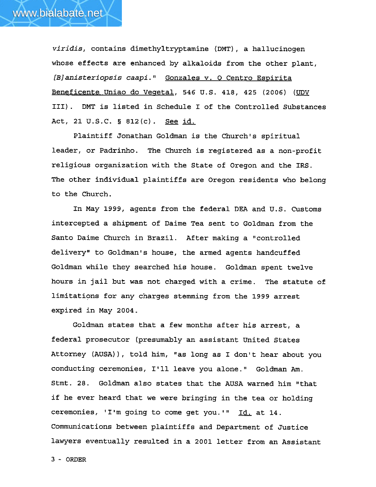

**viridis,** contains dimethyltryptamine (DMT) , a hallucinogen whose effects are enhanced by alkaloids from the other plant, [B]anisteriopsis caapi." Gonzales v. 0 Centro Espirita Beneficente Uniao do Vegetal, 546 U.S. 418, 425 (2006) (UDV 111). **DMT** is listed in Schedule I of the Controlled Substances Act, **21** U.S.C. § **812(c).** See id.

Plaintiff Jonathan Goldman is the Church's spiritual leader, or Padrinho. The Church is registered as a non-profit religious organization with the State of Oregon and the IRS. The other individual plaintiffs are Oregon residents who belong to the Church.

In May 1999, agents from the federal **DEA** and U.S. Customs intercepted a shipment of Daime Tea sent to Goldman from the Santo Daime Church in Brazil. After making a "controlled delivery" to Goldman's house, the armed agents handcuffed Goldman while they searched his house. Goldman spent twelve hours in jail but was not charged with a crime. The statute of limitations for any charges stemming from the 1999 arrest expired in May **2004.** 

Goldman states that a few months after his arrest, a federal prosecutor (presumably an assistant United States Attorney (AUSA)), told him, "as long as I don't hear about you conducting ceremonies, I'll leave you alone." Goldman Am. Stmt. 28. Goldman also states that the AUSA warned him "that if he ever heard that we were bringing in the tea or holding ceremonies, 'I'm going to come get you.'" Id. at 14. Communications between plaintiffs and Department of Justice lawyers eventually resulted in a 2001 letter from an Assistant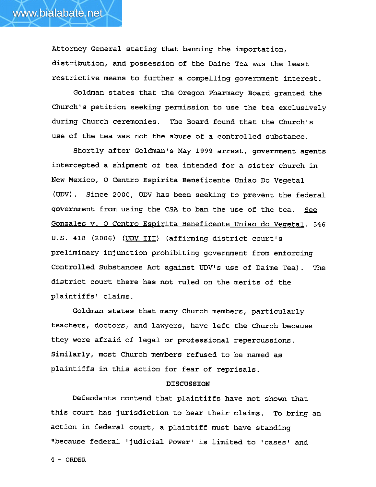

Attorney General stating that banning the importation, distribution, and possession of the Daime Tea was the least restrictive means to further a compelling government interest.

Goldman states that the Oregon Pharmacy Board granted the Church's petition seeking permission to use the tea exclusively during Church ceremonies. The Board found that the Church's use of the tea was not the abuse of a controlled substance.

Shortly after Goldman's May 1999 arrest, government agents intercepted a shipment of tea intended for a sister church in New Mexico, **0** Centro Espirita Beneficente Uniao Do Vegetal **(UDV).** Since 2000, **UDV** has been seeking to prevent the federal government from using the **CSA** to ban the use of the tea. **See**  Gonzales v. O Centro Espirita Beneficente Uniao do Vegetal, 546 U.S. 418 (2006) **(UDV 111)** (affirming district court's preliminary injunction prohibiting government from enforcing Controlled Substances Act against UDV's use of Daime Tea). The district court there has not ruled on the merits of the plaintiffs' claims.

Goldman states that many Church members, particularly teachers, doctors, and lawyers, have left the Church because they **were** afraid of legal or professional repercussions. Similarly, most Church members refused to be named as plaintiffs in this action for fear of reprisals.

## **DISCUSSION**

Defendants contend that plaintiffs have not shown that this court has jurisdiction to hear their claims. To bring an action in federal court, a plaintiff must have standing "because federal 'judicial Power' is limited to 'cases' and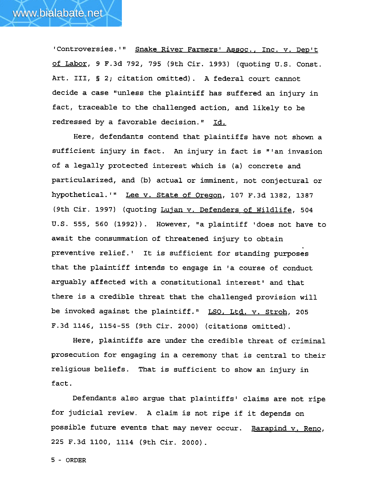'Controversies.'" Snake River Farmers' Assoc., Inc. v. Dep't of Labor, 9 F.3d **792, 795** (9th Cir. **1993)** {quoting U.S. Const. Art. **111,** § 2; citation omitted). A federal court cannot decide a case "unless the plaintiff has suffered an injury in fact, traceable to the challenged action, and likely to be redressed **by** a favorable decision." Id.

Here, defendants contend that plaintiffs have not **shown** a sufficient injury in fact. An injury in fact is "'an invasion of a legally protected interest which is (a) concrete and particularized, and (b) actual or imminent, not conjectural or hyp~thetical.~~ Lee **v.** State of Oreson, **107** F.3d **1382, 1387**  (9th Cir. **1997)** (quoting Luian **v.** Defenders of Wildlife, **504**  U.S. 555, **560 (1992)).** However, **Ira** plaintiff 'does not have to await the consummation of threatened injury to obtain preventive relief.' It is sufficient for standing purposes that the plaintiff intends to engage in 'a course of conduct arguably affected with a constitutional interest' and that there is a credible threat that the challenged provision will be invoked against the plaintiff." LSO, Ltd. v. Stroh, 205 **F.3d 1146, 1154-55** (9th Cir. **2000)** (citations omitted).

Here, plaintiffs are under the credible threat of criminal prosecution for engaging in a ceremony that is central to their religious beliefs. That is sufficient to show an injury in fact.

Defendants also argue that plaintiffs' claims are not ripe for judicial review. A claim is not ripe if it depends on possible future events that may never occur. Barapind v. Reno, **<sup>225</sup>**F.3d **1100, 1114** (9th Cir. **2000)** .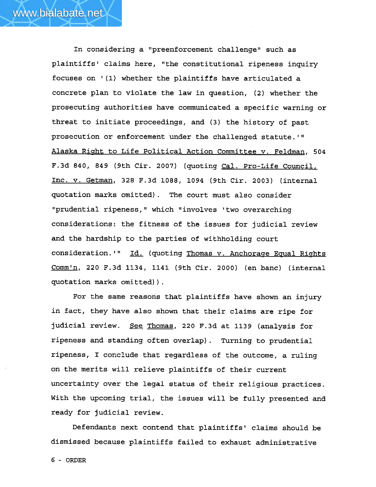In considering a "preenforcement challenge" such as plaintiffs' claims here, "the constitutional ripeness inquiry focuses on '(1) whether the plaintiffs have articulated a concrete plan to violate the law in question, (2) whether the prosecuting authorities have communicated a specific warning or threat to initiate proceedings, and **(3)** the history of past prosecution or enforcement under the challenged statute.<sup>1</sup>" Alaska Right to Life Political Action Committee v. Feldman, 504 F.3d 840, 849 (9th Cir. 2007) (quoting Cal. Pro-Life Council, Inc. v. Getman, 328 **F.3d** 1088, 1094 (9th Cir. 2003) (internal quotation marks omitted). The court must also consider "prudential ripeness," which "involves 'two overarching considerations: the fitness of the issues for judicial review and the hardship to the parties of withholding court consideration.'" Id. (quoting Thomas v. Anchorage Equal Rights Commln, 220 **F.3d** 1134, 1141 (9th Cir. 2000) (en banc) (internal quotation marks omitted)).

For the same reasons that plaintiffs have shown an injury in fact, they have also shown that their claims are ripe for judicial review. See Thomas, 220 F.3d at 1139 (analysis for ripeness and standing often overlap). Turning to prudential ripeness, I conclude that regardless of the outcome, a ruling on the merits will relieve plaintiffs of their current uncertainty over the legal status of their religious practices. With the upcoming trial, the issues will be fully presented and ready for judicial review.

Defendants next contend that plaintiffs' claims should be dismissed because plaintiffs failed to exhaust administrative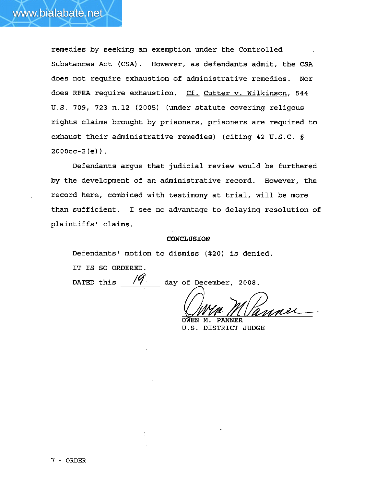

remedies by seeking an exemption under the Controlled Substances Act (CSA) . However, as defendants admit, the CSA does not require exhaustion of administrative remedies. Nor does RFRA require exhaustion. Cf. Cutter v. Wilkinson, **<sup>544</sup> U.S.** 709, **723** n.12 (2005) (under statute covering religous rights claims brought by prisoners, prisoners are required to exhaust their administrative remedies) (citing **42** U.S.C. §  $2000cc - 2(e)$ .

Defendants argue that judicial review would be furthered by the development of an administrative record. However, the record here, combined with testimony at trial, will be more than sufficient. I see no advantage to delaying resolution of plaintiffs' claims.

#### **CONCLUSION**

Defendants' motion to dismiss (#20) is denied.

IT IS SO ORDERED.

DATED this  $\frac{1}{9}$  day of December, 2008.

OWEN M. **PANNER** 

**U.S. DISTRICT** JUDGE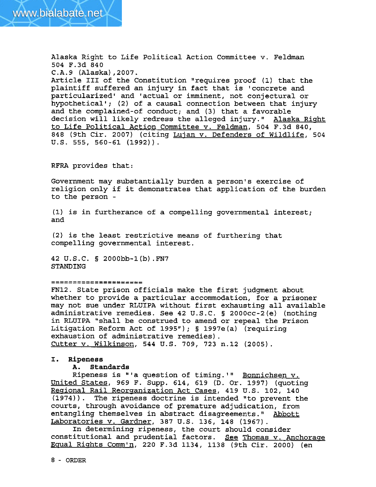Alaska Right to Life Political Action Committee v. Feldman 504 F.3d 840 C.A.9 (Alaska) ,2007. Article **111** of the Constitution l'requires proof **(1)** that the plaintiff suffered an injury in fact that is 'concrete and particularized1 and 'actual or imminent, not conjectural or hypothetical'; (2) of a causal connection between that injury and the complained-of conduct; and (3) that a favorable decision will likely redress the alleged injury." Alaska Right to Life Political Action Committee v. Feldman, 504 F.3d 840, 848 (9th Cir. 2007) (citing Lujan v. Defenders of Wildlife, 504 **U.S. 555,** 560-61 (1992)).

**RFRA** provides that :

Government may substantially burden a person's exercise of religion only if it demonstrates that application of the burden to the person -

**(1)** is in furtherance of a compelling governmental interest; and

(2) is the least restrictive means of furthering that compelling governmental interest.

42 U.S.C. **S** 2000bb-l(b).FN7 STANDING

### ..................... .....................

FN12. State prison officials make the first judgment about whether to provide a particular accommodation, for a prisoner may not sue under **RLUIPA** without first exhausting all available administrative remedies. See 42 U.S.C. § 2000cc-2(e) (nothing in **RLUIPA** "shall be construed to amend or repeal the Prison Litigation Reform Act of 1995"); **1** 1997e(a) (requiring exhaustion of administrative remedies). Cutter v. Wilkinson, 544 U.S. 709, 723 n.12 (2005) .

# **I. Ripeness**

## **A.** Standards

Ripeness is "'a question of timing.'" Bonnichsen v. United States, 969 F. Supp. 614, 619 **(D.** Or. 1997) (quoting Regional Rail Reorganization Act Cases, 419 U.S. 102, 140 (1974)). The ripeness doctrine is intended "to prevent the courts, through avoidance of premature adjudication, from entangling themselves in abstract disagreements." Abbott Laboratories v. Gardner, 387 U.S. 136, 148 (1967).

In determining ripeness, the court should consider constitutional and prudential factors. **See** Thomas v. Anchorase **Eaual** Riqhts Comm'n, 220 F.3d 1134, 1138 (9th Cir. 2000) (en